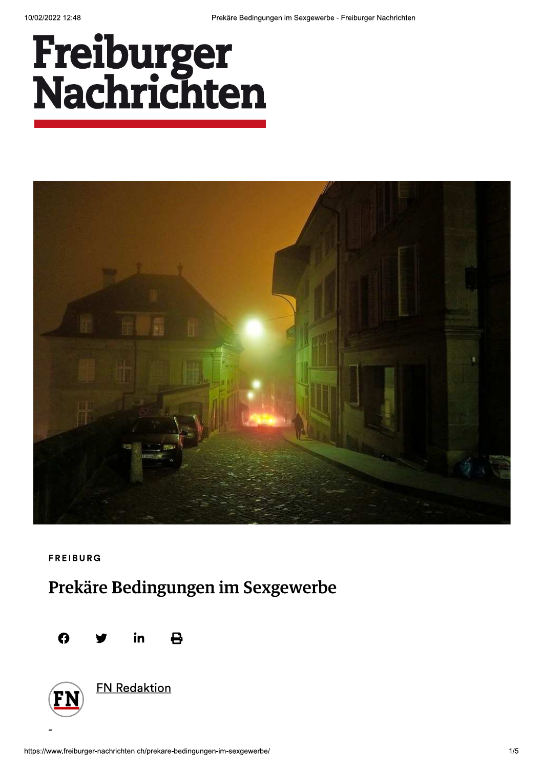# Freiburger<br>Nachrichten



**FREIBURG** 

## Prekäre Bedingungen im Sexgewerbe





**FN Redaktion**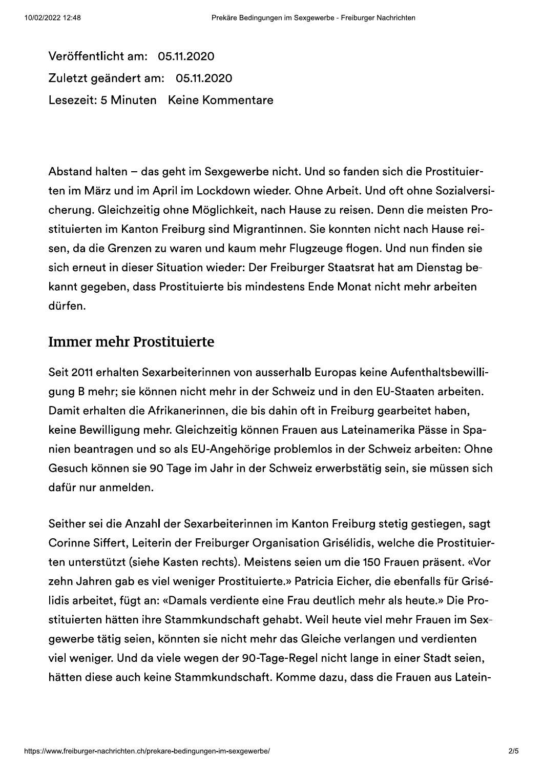Veröffentlicht am: 05.11.2020 Zuletzt geändert am: 05.11.2020 Lesezeit: 5 Minuten Keine Kommentare

Abstand halten - das geht im Sexgewerbe nicht. Und so fanden sich die Prostituierten im März und im April im Lockdown wieder. Ohne Arbeit. Und oft ohne Sozialversicherung. Gleichzeitig ohne Möglichkeit, nach Hause zu reisen. Denn die meisten Prostituierten im Kanton Freiburg sind Migrantinnen. Sie konnten nicht nach Hause reisen, da die Grenzen zu waren und kaum mehr Flugzeuge flogen. Und nun finden sie sich erneut in dieser Situation wieder: Der Freiburger Staatsrat hat am Dienstag bekannt gegeben, dass Prostituierte bis mindestens Ende Monat nicht mehr arbeiten dürfen.

#### **Immer mehr Prostituierte**

Seit 2011 erhalten Sexarbeiterinnen von ausserhalb Europas keine Aufenthaltsbewilligung B mehr; sie können nicht mehr in der Schweiz und in den EU-Staaten arbeiten. Damit erhalten die Afrikanerinnen, die bis dahin oft in Freiburg gearbeitet haben, keine Bewilligung mehr. Gleichzeitig können Frauen aus Lateinamerika Pässe in Spanien beantragen und so als EU-Angehörige problemlos in der Schweiz arbeiten: Ohne Gesuch können sie 90 Tage im Jahr in der Schweiz erwerbstätig sein, sie müssen sich dafür nur anmelden.

Seither sei die Anzahl der Sexarbeiterinnen im Kanton Freiburg stetig gestiegen, sagt Corinne Siffert, Leiterin der Freiburger Organisation Grisélidis, welche die Prostituierten unterstützt (siehe Kasten rechts). Meistens seien um die 150 Frauen präsent. «Vor zehn Jahren gab es viel weniger Prostituierte.» Patricia Eicher, die ebenfalls für Grisélidis arbeitet, fügt an: «Damals verdiente eine Frau deutlich mehr als heute.» Die Prostituierten hätten ihre Stammkundschaft gehabt. Weil heute viel mehr Frauen im Sexgewerbe tätig seien, könnten sie nicht mehr das Gleiche verlangen und verdienten viel weniger. Und da viele wegen der 90-Tage-Regel nicht lange in einer Stadt seien, hätten diese auch keine Stammkundschaft. Komme dazu, dass die Frauen aus Latein-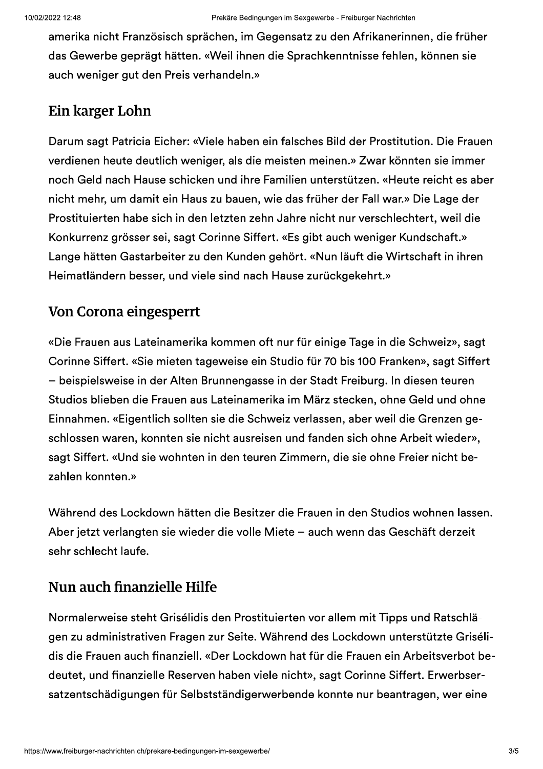amerika nicht Französisch sprächen, im Gegensatz zu den Afrikanerinnen, die früher das Gewerbe geprägt hätten. «Weil ihnen die Sprachkenntnisse fehlen, können sie auch weniger gut den Preis verhandeln.»

#### Ein karger Lohn

Darum sagt Patricia Eicher: «Viele haben ein falsches Bild der Prostitution. Die Frauen verdienen heute deutlich weniger, als die meisten meinen.» Zwar könnten sie immer noch Geld nach Hause schicken und ihre Familien unterstützen. «Heute reicht es aber nicht mehr, um damit ein Haus zu bauen, wie das früher der Fall war.» Die Lage der Prostituierten habe sich in den letzten zehn Jahre nicht nur verschlechtert, weil die Konkurrenz grösser sei, sagt Corinne Siffert. «Es gibt auch weniger Kundschaft.» Lange hätten Gastarbeiter zu den Kunden gehört. «Nun läuft die Wirtschaft in ihren Heimatländern besser, und viele sind nach Hause zurückgekehrt.»

#### Von Corona eingesperrt

«Die Frauen aus Lateinamerika kommen oft nur für einige Tage in die Schweiz», sagt Corinne Siffert. «Sie mieten tageweise ein Studio für 70 bis 100 Franken», sagt Siffert - beispielsweise in der Alten Brunnengasse in der Stadt Freiburg. In diesen teuren Studios blieben die Frauen aus Lateinamerika im März stecken, ohne Geld und ohne Einnahmen. «Eigentlich sollten sie die Schweiz verlassen, aber weil die Grenzen geschlossen waren, konnten sie nicht ausreisen und fanden sich ohne Arbeit wieder», sagt Siffert. «Und sie wohnten in den teuren Zimmern, die sie ohne Freier nicht bezahlen konnten.»

Während des Lockdown hätten die Besitzer die Frauen in den Studios wohnen lassen. Aber jetzt verlangten sie wieder die volle Miete - auch wenn das Geschäft derzeit sehr schlecht laufe.

#### Nun auch finanzielle Hilfe

Normalerweise steht Grisélidis den Prostituierten vor allem mit Tipps und Ratschlägen zu administrativen Fragen zur Seite. Während des Lockdown unterstützte Grisélidis die Frauen auch finanziell. «Der Lockdown hat für die Frauen ein Arbeitsverbot bedeutet, und finanzielle Reserven haben viele nicht», sagt Corinne Siffert. Erwerbsersatzentschädigungen für Selbstständigerwerbende konnte nur beantragen, wer eine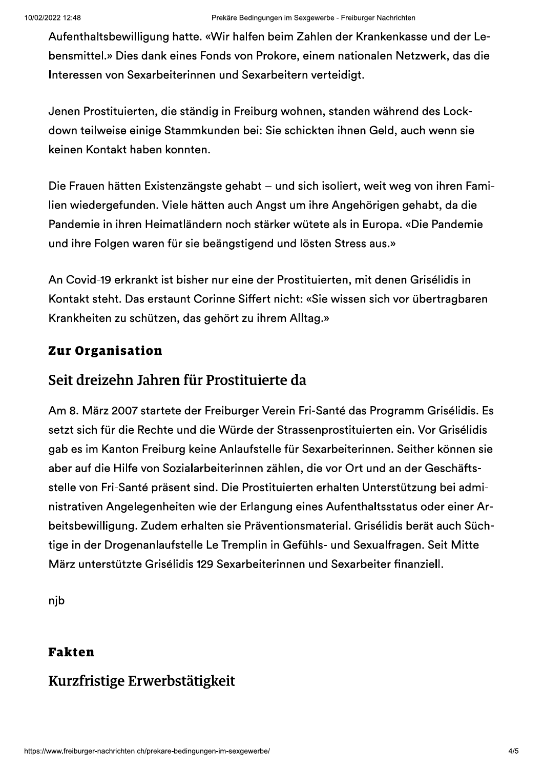Aufenthaltsbewilligung hatte. «Wir halfen beim Zahlen der Krankenkasse und der Lebensmittel.» Dies dank eines Fonds von Prokore, einem nationalen Netzwerk, das die Interessen von Sexarbeiterinnen und Sexarbeitern verteidigt.

Jenen Prostituierten, die ständig in Freiburg wohnen, standen während des Lockdown teilweise einige Stammkunden bei: Sie schickten ihnen Geld, auch wenn sie keinen Kontakt haben konnten.

Die Frauen hätten Existenzängste gehabt – und sich isoliert, weit weg von ihren Familien wiedergefunden. Viele hätten auch Angst um ihre Angehörigen gehabt, da die Pandemie in ihren Heimatländern noch stärker wütete als in Europa. «Die Pandemie und ihre Folgen waren für sie beängstigend und lösten Stress aus.»

An Covid-19 erkrankt ist bisher nur eine der Prostituierten, mit denen Grisélidis in Kontakt steht. Das erstaunt Corinne Siffert nicht: «Sie wissen sich vor übertragbaren Krankheiten zu schützen, das gehört zu ihrem Alltag.»

#### **Zur Organisation**

#### Seit dreizehn Jahren für Prostituierte da

Am 8. März 2007 startete der Freiburger Verein Fri-Santé das Programm Grisélidis. Es setzt sich für die Rechte und die Würde der Strassenprostituierten ein. Vor Grisélidis gab es im Kanton Freiburg keine Anlaufstelle für Sexarbeiterinnen. Seither können sie aber auf die Hilfe von Sozialarbeiterinnen zählen, die vor Ort und an der Geschäftsstelle von Fri-Santé präsent sind. Die Prostituierten erhalten Unterstützung bei administrativen Angelegenheiten wie der Erlangung eines Aufenthaltsstatus oder einer Arbeitsbewilligung. Zudem erhalten sie Präventionsmaterial. Grisélidis berät auch Süchtige in der Drogenanlaufstelle Le Tremplin in Gefühls- und Sexualfragen. Seit Mitte März unterstützte Grisélidis 129 Sexarbeiterinnen und Sexarbeiter finanziell.

njb

#### **Fakten**

### Kurzfristige Erwerbstätigkeit